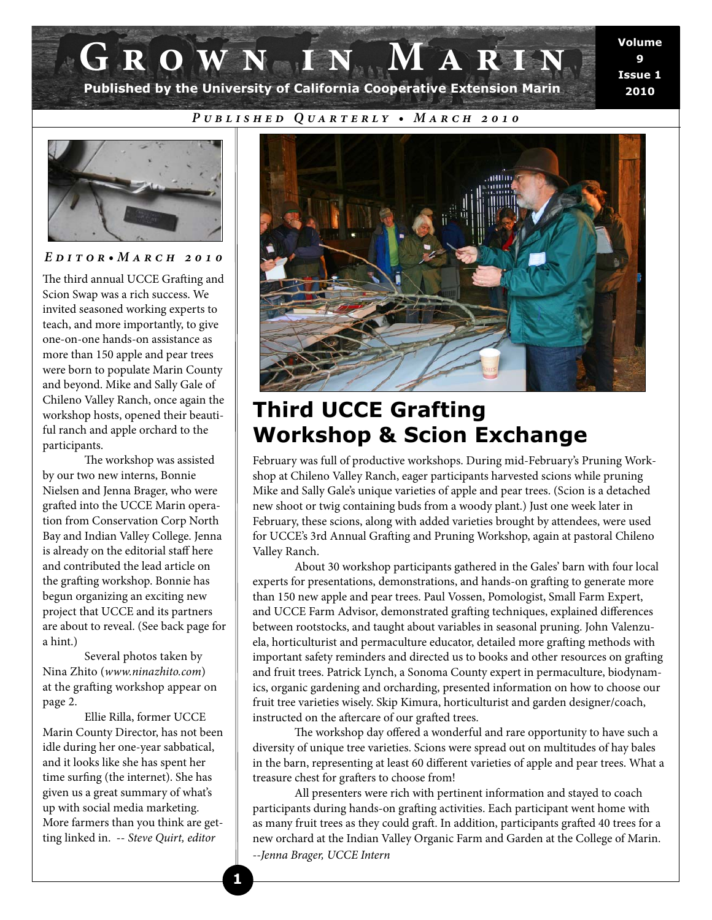# **Grown in Marin Published by the University of California Cooperative Extension Marin**

**Volume 9 Issue 1 2010**

*Published Quarterly • March 2010*



*Editor•March 2010* 

The third annual UCCE Grafting and Scion Swap was a rich success. We invited seasoned working experts to teach, and more importantly, to give one-on-one hands-on assistance as more than 150 apple and pear trees were born to populate Marin County and beyond. Mike and Sally Gale of Chileno Valley Ranch, once again the workshop hosts, opened their beautiful ranch and apple orchard to the participants.

The workshop was assisted by our two new interns, Bonnie Nielsen and Jenna Brager, who were grafted into the UCCE Marin operation from Conservation Corp North Bay and Indian Valley College. Jenna is already on the editorial staff here and contributed the lead article on the grafting workshop. Bonnie has begun organizing an exciting new project that UCCE and its partners are about to reveal. (See back page for a hint.)

 Several photos taken by Nina Zhito (*www.ninazhito.com*) at the grafting workshop appear on page 2.

 Ellie Rilla, former UCCE Marin County Director, has not been idle during her one-year sabbatical, and it looks like she has spent her time surfing (the internet). She has given us a great summary of what's up with social media marketing. More farmers than you think are getting linked in. -- *Steve Quirt, editor*



# **Third UCCE Grafting Workshop & Scion Exchange**

February was full of productive workshops. During mid-February's Pruning Workshop at Chileno Valley Ranch, eager participants harvested scions while pruning Mike and Sally Gale's unique varieties of apple and pear trees. (Scion is a detached new shoot or twig containing buds from a woody plant.) Just one week later in February, these scions, along with added varieties brought by attendees, were used for UCCE's 3rd Annual Grafting and Pruning Workshop, again at pastoral Chileno Valley Ranch.

 About 30 workshop participants gathered in the Gales' barn with four local experts for presentations, demonstrations, and hands-on grafting to generate more than 150 new apple and pear trees. Paul Vossen, Pomologist, Small Farm Expert, and UCCE Farm Advisor, demonstrated grafting techniques, explained differences between rootstocks, and taught about variables in seasonal pruning. John Valenzuela, horticulturist and permaculture educator, detailed more grafting methods with important safety reminders and directed us to books and other resources on grafting and fruit trees. Patrick Lynch, a Sonoma County expert in permaculture, biodynamics, organic gardening and orcharding, presented information on how to choose our fruit tree varieties wisely. Skip Kimura, horticulturist and garden designer/coach, instructed on the aftercare of our grafted trees.

The workshop day offered a wonderful and rare opportunity to have such a diversity of unique tree varieties. Scions were spread out on multitudes of hay bales in the barn, representing at least 60 different varieties of apple and pear trees. What a treasure chest for grafters to choose from!

 All presenters were rich with pertinent information and stayed to coach participants during hands-on grafting activities. Each participant went home with as many fruit trees as they could graft. In addition, participants grafted 40 trees for a new orchard at the Indian Valley Organic Farm and Garden at the College of Marin. *--Jenna Brager, UCCE Intern*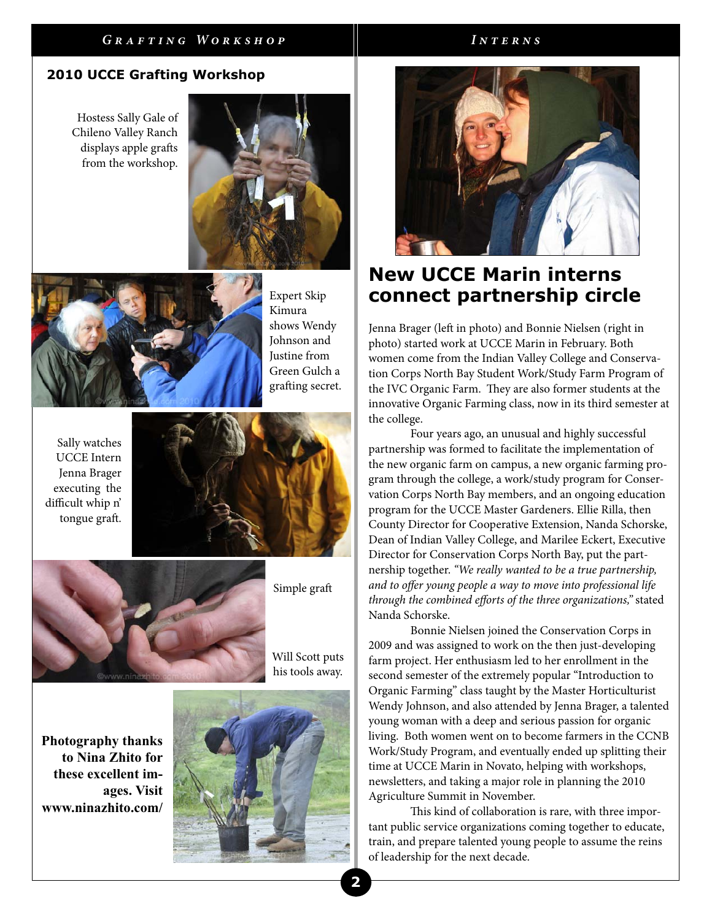#### *Grafting Workshop Interns*

### **2010 UCCE Grafting Workshop**

Hostess Sally Gale of Chileno Valley Ranch displays apple grafts from the workshop.





Expert Skip Kimura shows Wendy Johnson and Justine from Green Gulch a grafting secret.

Sally watches UCCE Intern Jenna Brager executing the difficult whip n' tongue graft.





Simple graft

Will Scott puts his tools away.

**Photography thanks to Nina Zhito for these excellent images. Visit www.ninazhito.com/**





## **New UCCE Marin interns connect partnership circle**

Jenna Brager (left in photo) and Bonnie Nielsen (right in photo) started work at UCCE Marin in February. Both women come from the Indian Valley College and Conservation Corps North Bay Student Work/Study Farm Program of the IVC Organic Farm. They are also former students at the innovative Organic Farming class, now in its third semester at the college.

 Four years ago, an unusual and highly successful partnership was formed to facilitate the implementation of the new organic farm on campus, a new organic farming program through the college, a work/study program for Conservation Corps North Bay members, and an ongoing education program for the UCCE Master Gardeners. Ellie Rilla, then County Director for Cooperative Extension, Nanda Schorske, Dean of Indian Valley College, and Marilee Eckert, Executive Director for Conservation Corps North Bay, put the partnership together. *"We really wanted to be a true partnership, and to offer young people a way to move into professional life* through the combined efforts of the three organizations," stated Nanda Schorske.

 Bonnie Nielsen joined the Conservation Corps in 2009 and was assigned to work on the then just-developing farm project. Her enthusiasm led to her enrollment in the second semester of the extremely popular "Introduction to Organic Farming" class taught by the Master Horticulturist Wendy Johnson, and also attended by Jenna Brager, a talented young woman with a deep and serious passion for organic living. Both women went on to become farmers in the CCNB Work/Study Program, and eventually ended up splitting their time at UCCE Marin in Novato, helping with workshops, newsletters, and taking a major role in planning the 2010 Agriculture Summit in November.

This kind of collaboration is rare, with three important public service organizations coming together to educate, train, and prepare talented young people to assume the reins of leadership for the next decade.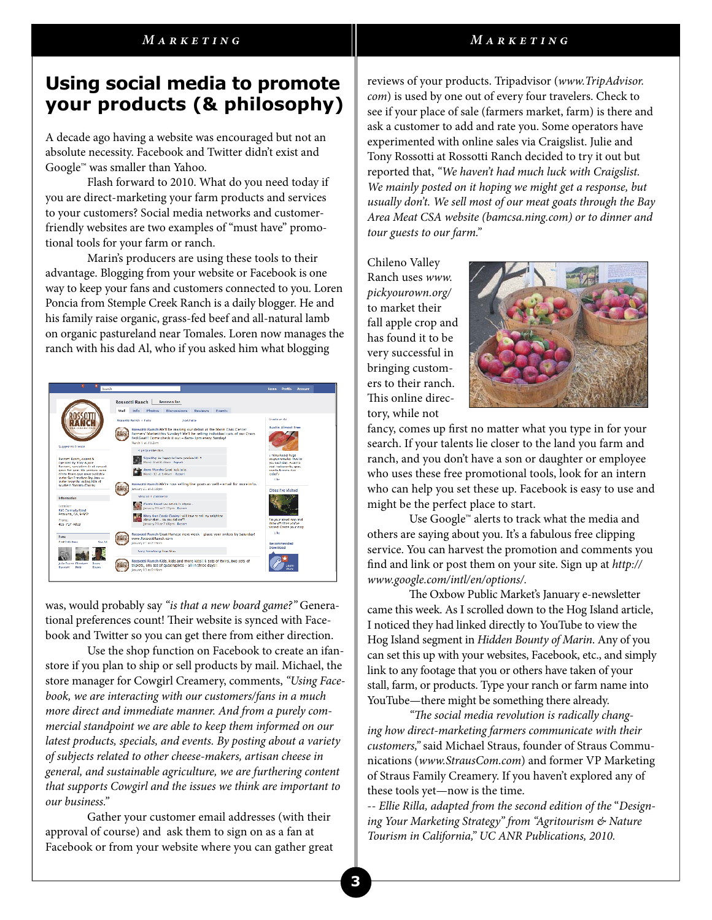#### *Marketing Marketing*

## **Using social media to promote your products (& philosophy)**

A decade ago having a website was encouraged but not an absolute necessity. Facebook and Twitter didn't exist and Google™ was smaller than Yahoo.

 Flash forward to 2010. What do you need today if you are direct-marketing your farm products and services to your customers? Social media networks and customerfriendly websites are two examples of "must have" promotional tools for your farm or ranch.

 Marin's producers are using these tools to their advantage. Blogging from your website or Facebook is one way to keep your fans and customers connected to you. Loren Poncia from Stemple Creek Ranch is a daily blogger. He and his family raise organic, grass-fed beef and all-natural lamb on organic pastureland near Tomales. Loren now manages the ranch with his dad Al, who if you asked him what blogging



was, would probably say *"is that a new board game?"* Generational preferences count! Their website is synced with Facebook and Twitter so you can get there from either direction.

 Use the shop function on Facebook to create an ifanstore if you plan to ship or sell products by mail. Michael, the store manager for Cowgirl Creamery, comments, *"Using Facebook, we are interacting with our customers/fans in a much more direct and immediate manner. And from a purely commercial standpoint we are able to keep them informed on our latest products, specials, and events. By posting about a variety of subjects related to other cheese-makers, artisan cheese in general, and sustainable agriculture, we are furthering content that supports Cowgirl and the issues we think are important to our business."* 

 Gather your customer email addresses (with their approval of course) and ask them to sign on as a fan at Facebook or from your website where you can gather great reviews of your products. Tripadvisor (*www.TripAdvisor. com*) is used by one out of every four travelers. Check to see if your place of sale (farmers market, farm) is there and ask a customer to add and rate you. Some operators have experimented with online sales via Craigslist. Julie and Tony Rossotti at Rossotti Ranch decided to try it out but reported that, *"We haven't had much luck with Craigslist. We mainly posted on it hoping we might get a response, but usually don't. We sell most of our meat goats through the Bay Area Meat CSA website (bamcsa.ning.com) or to dinner and tour guests to our farm."*

Chileno Valley Ranch uses *www. pickyourown.org/* to market their fall apple crop and has found it to be very successful in bringing customers to their ranch. This online directory, while not



fancy, comes up first no matter what you type in for your search. If your talents lie closer to the land you farm and ranch, and you don't have a son or daughter or employee who uses these free promotional tools, look for an intern who can help you set these up. Facebook is easy to use and might be the perfect place to start.

 Use Google™ alerts to track what the media and others are saying about you. It's a fabulous free clipping service. You can harvest the promotion and comments you find and link or post them on your site. Sign up at http:// *www.google.com/intl/en/options/.*

The Oxbow Public Market's January e-newsletter came this week. As I scrolled down to the Hog Island article, I noticed they had linked directly to YouTube to view the Hog Island segment in *Hidden Bounty of Marin*. Any of you can set this up with your websites, Facebook, etc., and simply link to any footage that you or others have taken of your stall, farm, or products. Type your ranch or farm name into YouTube—there might be something there already.

"The social media revolution is radically chang*ing how direct-marketing farmers communicate with their customers,"* said Michael Straus, founder of Straus Communications (*www.StrausCom.com*) and former VP Marketing of Straus Family Creamery. If you haven't explored any of these tools yet—now is the time.

-- *Ellie Rilla, adapted from the second edition of the* "*Designing Your Marketing Strategy" from "Agritourism & Nature Tourism in California," UC ANR Publications, 2010.*